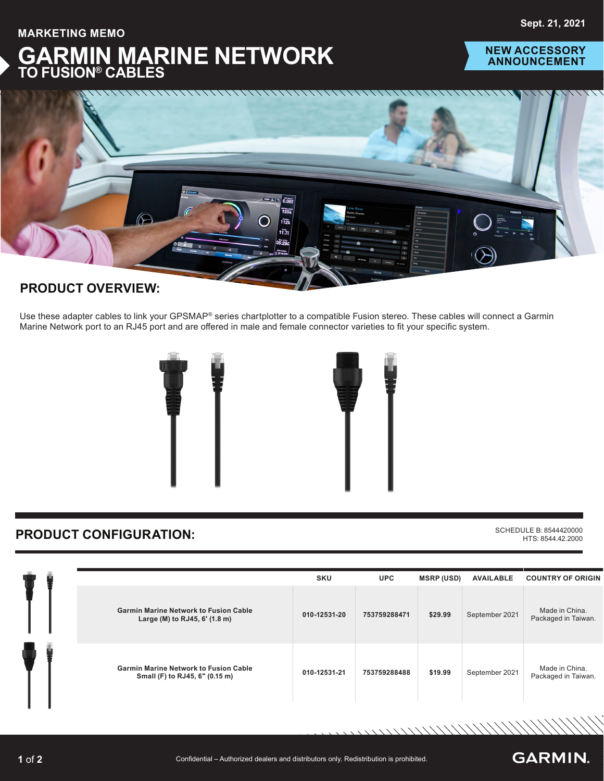**MARKETING MEMO**



### **NEW ACCESSORY ANNOUNCEMENT**



## **PRODUCT OVERVIEW:**

Use these adapter cables to link your GPSMAP® series chartplotter to a compatible Fusion stereo. These cables will connect a Garmin Marine Network port to an RJ45 port and are offered in male and female connector varieties to fit your specific system.



# **PRODUCT CONFIGURATION:** SCHEDULE B: 8544420000

HTS: 8544.42.2000

**GARMIN.** 

//////////////

|  |                                                                                | <b>SKU</b>   | <b>UPC</b>   | <b>MSRP (USD)</b> | <b>AVAILABLE</b> | <b>COUNTRY OF ORIGIN</b>              |
|--|--------------------------------------------------------------------------------|--------------|--------------|-------------------|------------------|---------------------------------------|
|  | <b>Garmin Marine Network to Fusion Cable</b><br>Large (M) to RJ45, 6' (1.8 m)  | 010-12531-20 | 753759288471 | \$29.99           | September 2021   | Made in China.<br>Packaged in Taiwan. |
|  | <b>Garmin Marine Network to Fusion Cable</b><br>Small (F) to RJ45, 6" (0.15 m) | 010-12531-21 | 753759288488 | \$19.99           | September 2021   | Made in China.<br>Packaged in Taiwan. |